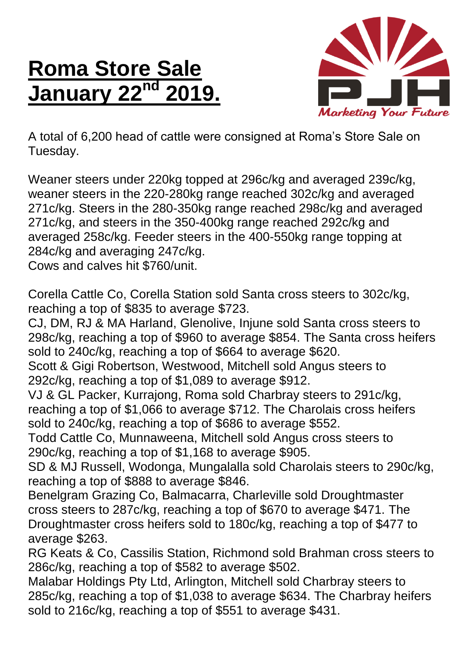## **Roma Store Sale January 22**



A total of 6,200 head of cattle were consigned at Roma's Store Sale on Tuesday.

Weaner steers under 220kg topped at 296c/kg and averaged 239c/kg, weaner steers in the 220-280kg range reached 302c/kg and averaged 271c/kg. Steers in the 280-350kg range reached 298c/kg and averaged 271c/kg, and steers in the 350-400kg range reached 292c/kg and averaged 258c/kg. Feeder steers in the 400-550kg range topping at 284c/kg and averaging 247c/kg.

Cows and calves hit \$760/unit.

Corella Cattle Co, Corella Station sold Santa cross steers to 302c/kg, reaching a top of \$835 to average \$723.

CJ, DM, RJ & MA Harland, Glenolive, Injune sold Santa cross steers to 298c/kg, reaching a top of \$960 to average \$854. The Santa cross heifers sold to 240c/kg, reaching a top of \$664 to average \$620.

Scott & Gigi Robertson, Westwood, Mitchell sold Angus steers to 292c/kg, reaching a top of \$1,089 to average \$912.

VJ & GL Packer, Kurrajong, Roma sold Charbray steers to 291c/kg, reaching a top of \$1,066 to average \$712. The Charolais cross heifers sold to 240c/kg, reaching a top of \$686 to average \$552.

Todd Cattle Co, Munnaweena, Mitchell sold Angus cross steers to 290c/kg, reaching a top of \$1,168 to average \$905.

SD & MJ Russell, Wodonga, Mungalalla sold Charolais steers to 290c/kg, reaching a top of \$888 to average \$846.

Benelgram Grazing Co, Balmacarra, Charleville sold Droughtmaster cross steers to 287c/kg, reaching a top of \$670 to average \$471. The Droughtmaster cross heifers sold to 180c/kg, reaching a top of \$477 to average \$263.

RG Keats & Co, Cassilis Station, Richmond sold Brahman cross steers to 286c/kg, reaching a top of \$582 to average \$502.

Malabar Holdings Pty Ltd, Arlington, Mitchell sold Charbray steers to 285c/kg, reaching a top of \$1,038 to average \$634. The Charbray heifers sold to 216c/kg, reaching a top of \$551 to average \$431.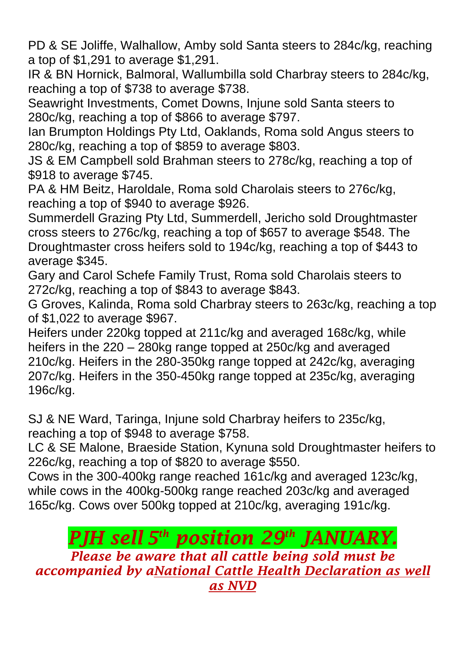PD & SE Joliffe, Walhallow, Amby sold Santa steers to 284c/kg, reaching a top of \$1,291 to average \$1,291.

IR & BN Hornick, Balmoral, Wallumbilla sold Charbray steers to 284c/kg, reaching a top of \$738 to average \$738.

Seawright Investments, Comet Downs, Injune sold Santa steers to 280c/kg, reaching a top of \$866 to average \$797.

Ian Brumpton Holdings Pty Ltd, Oaklands, Roma sold Angus steers to 280c/kg, reaching a top of \$859 to average \$803.

JS & EM Campbell sold Brahman steers to 278c/kg, reaching a top of \$918 to average \$745.

PA & HM Beitz, Haroldale, Roma sold Charolais steers to 276c/kg, reaching a top of \$940 to average \$926.

Summerdell Grazing Pty Ltd, Summerdell, Jericho sold Droughtmaster cross steers to 276c/kg, reaching a top of \$657 to average \$548. The Droughtmaster cross heifers sold to 194c/kg, reaching a top of \$443 to average \$345.

Gary and Carol Schefe Family Trust, Roma sold Charolais steers to 272c/kg, reaching a top of \$843 to average \$843.

G Groves, Kalinda, Roma sold Charbray steers to 263c/kg, reaching a top of \$1,022 to average \$967.

Heifers under 220kg topped at 211c/kg and averaged 168c/kg, while heifers in the 220 – 280kg range topped at 250c/kg and averaged 210c/kg. Heifers in the 280-350kg range topped at 242c/kg, averaging 207c/kg. Heifers in the 350-450kg range topped at 235c/kg, averaging 196c/kg.

SJ & NE Ward, Taringa, Injune sold Charbray heifers to 235c/kg, reaching a top of \$948 to average \$758.

LC & SE Malone, Braeside Station, Kynuna sold Droughtmaster heifers to 226c/kg, reaching a top of \$820 to average \$550.

Cows in the 300-400kg range reached 161c/kg and averaged 123c/kg, while cows in the 400kg-500kg range reached 203c/kg and averaged 165c/kg. Cows over 500kg topped at 210c/kg, averaging 191c/kg.

## *PJH sell 5 th position 29 th JANUARY. Please be aware that all cattle being sold must be accompanied by aNational Cattle Health Declaration as well as NVD*